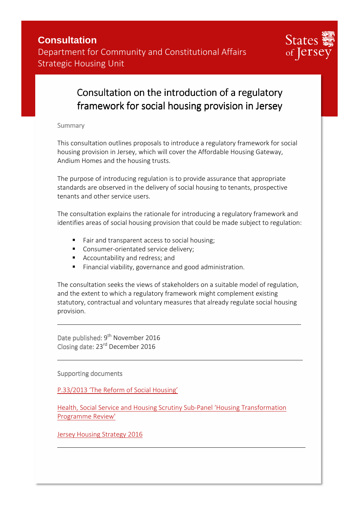

## Consultation on the introduction of a regulatory framework for social housing provision in Jersey

Summary

This consultation outlines proposals to introduce a regulatory framework for social housing provision in Jersey, which will cover the Affordable Housing Gateway, Andium Homes and the housing trusts.

The purpose of introducing regulation is to provide assurance that appropriate standards are observed in the delivery of social housing to tenants, prospective tenants and other service users.

The consultation explains the rationale for introducing a regulatory framework and identifies areas of social housing provision that could be made subject to regulation:

- Fair and transparent access to social housing;
- Consumer-orientated service delivery;
- **Accountability and redress; and**
- Financial viability, governance and good administration.

The consultation seeks the views of stakeholders on a suitable model of regulation, and the extent to which a regulatory framework might complement existing statutory, contractual and voluntary measures that already regulate social housing provision.

Date published: 9<sup>th</sup> November 2016 Closing date: 23rd December 2016

Supporting documents

P.33/2013 'The Reform of Social Housing'

Health, Social Service and Housing Scrutiny Sub-Panel 'Housing Transformation Programme Review'

Jersey Housing Strategy 2016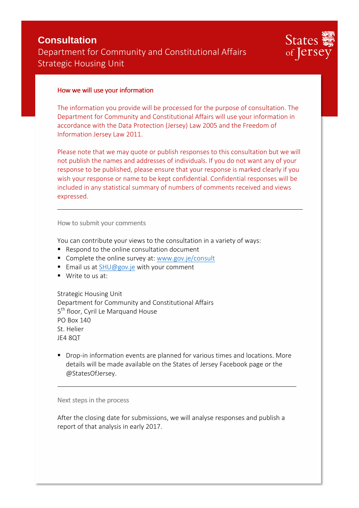



#### How we will use your information

The information you provide will be processed for the purpose of consultation. The Department for Community and Constitutional Affairs will use your information in accordance with the Data Protection (Jersey) Law 2005 and the Freedom of Information Jersey Law 2011.

Please note that we may quote or publish responses to this consultation but we will not publish the names and addresses of individuals. If you do not want any of your response to be published, please ensure that your response is marked clearly if you wish your response or name to be kept confidential. Confidential responses will be included in any statistical summary of numbers of comments received and views expressed.

How to submit your comments

You can contribute your views to the consultation in a variety of ways:

- Respond to the online consultation document
- Complete the online survey at: www.gov.je/consult
- Email us at SHU@gov.je with your comment
- Write to us at:

Strategic Housing Unit Department for Community and Constitutional Affairs 5<sup>th</sup> floor, Cyril Le Marquand House PO Box 140 St. Helier JE4 8QT

 Drop-in information events are planned for various times and locations. More details will be made available on the States of Jersey Facebook page or the @StatesOfJersey.

Next steps in the process

After the closing date for submissions, we will analyse responses and publish a report of that analysis in early 2017.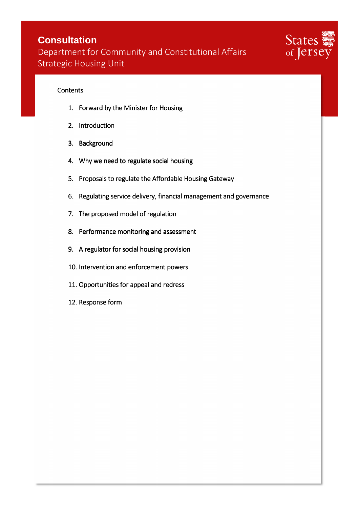### **Consultation**

Department for Community and Constitutional Affairs Strategic Housing Unit



#### **Contents**

- 1. Forward by the Minister for Housing
- 2. Introduction
- 3. Background
- 4. Why we need to regulate social housing
- 5. Proposals to regulate the Affordable Housing Gateway
- 6. Regulating service delivery, financial management and governance
- 7. The proposed model of regulation
- 8. Performance monitoring and assessment
- 9. A regulator for social housing provision
- 10. Intervention and enforcement powers
- 11. Opportunities for appeal and redress
- 12. Response form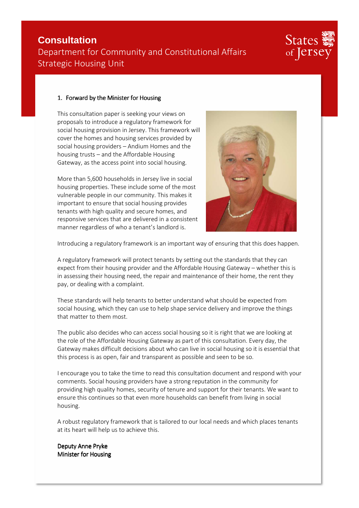# States of Jerse

#### 1. Forward by the Minister for Housing

This consultation paper is seeking your views on proposals to introduce a regulatory framework for social housing provision in Jersey. This framework will cover the homes and housing services provided by social housing providers – Andium Homes and the housing trusts – and the Affordable Housing Gateway, as the access point into social housing.

More than 5,600 households in Jersey live in social housing properties. These include some of the most vulnerable people in our community. This makes it important to ensure that social housing provides tenants with high quality and secure homes, and responsive services that are delivered in a consistent manner regardless of who a tenant's landlord is.



Introducing a regulatory framework is an important way of ensuring that this does happen.

A regulatory framework will protect tenants by setting out the standards that they can expect from their housing provider and the Affordable Housing Gateway – whether this is in assessing their housing need, the repair and maintenance of their home, the rent they pay, or dealing with a complaint.

These standards will help tenants to better understand what should be expected from social housing, which they can use to help shape service delivery and improve the things that matter to them most.

The public also decides who can access social housing so it is right that we are looking at the role of the Affordable Housing Gateway as part of this consultation. Every day, the Gateway makes difficult decisions about who can live in social housing so it is essential that this process is as open, fair and transparent as possible and seen to be so.

I encourage you to take the time to read this consultation document and respond with your comments. Social housing providers have a strong reputation in the community for providing high quality homes, security of tenure and support for their tenants. We want to ensure this continues so that even more households can benefit from living in social housing.

A robust regulatory framework that is tailored to our local needs and which places tenants at its heart will help us to achieve this.

Deputy Anne Pryke Minister for Housing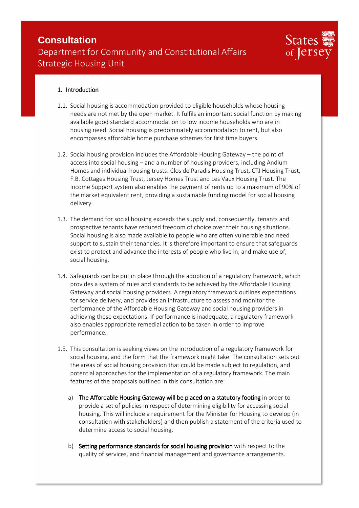

#### 1. Introduction

- 1.1. Social housing is accommodation provided to eligible households whose housing needs are not met by the open market. It fulfils an important social function by making available good standard accommodation to low income households who are in housing need. Social housing is predominately accommodation to rent, but also encompasses affordable home purchase schemes for first time buyers.
- 1.2. Social housing provision includes the Affordable Housing Gateway the point of access into social housing – and a number of housing providers, including Andium Homes and individual housing trusts: Clos de Paradis Housing Trust, CTJ Housing Trust, F.B. Cottages Housing Trust, Jersey Homes Trust and Les Vaux Housing Trust. The Income Support system also enables the payment of rents up to a maximum of 90% of the market equivalent rent, providing a sustainable funding model for social housing delivery.
- 1.3. The demand for social housing exceeds the supply and, consequently, tenants and prospective tenants have reduced freedom of choice over their housing situations. Social housing is also made available to people who are often vulnerable and need support to sustain their tenancies. It is therefore important to ensure that safeguards exist to protect and advance the interests of people who live in, and make use of, social housing.
- 1.4. Safeguards can be put in place through the adoption of a regulatory framework, which provides a system of rules and standards to be achieved by the Affordable Housing Gateway and social housing providers. A regulatory framework outlines expectations for service delivery, and provides an infrastructure to assess and monitor the performance of the Affordable Housing Gateway and social housing providers in achieving these expectations. If performance is inadequate, a regulatory framework also enables appropriate remedial action to be taken in order to improve performance.
- 1.5. This consultation is seeking views on the introduction of a regulatory framework for social housing, and the form that the framework might take. The consultation sets out the areas of social housing provision that could be made subject to regulation, and potential approaches for the implementation of a regulatory framework. The main features of the proposals outlined in this consultation are:
	- a) The Affordable Housing Gateway will be placed on a statutory footing in order to provide a set of policies in respect of determining eligibility for accessing social housing. This will include a requirement for the Minister for Housing to develop (in consultation with stakeholders) and then publish a statement of the criteria used to determine access to social housing.
	- b) Setting performance standards for social housing provision with respect to the quality of services, and financial management and governance arrangements.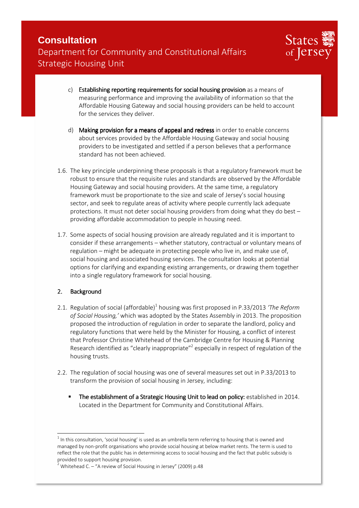

- c) Establishing reporting requirements for social housing provision as a means of measuring performance and improving the availability of information so that the Affordable Housing Gateway and social housing providers can be held to account for the services they deliver.
- d) Making provision for a means of appeal and redress in order to enable concerns about services provided by the Affordable Housing Gateway and social housing providers to be investigated and settled if a person believes that a performance standard has not been achieved.
- 1.6. The key principle underpinning these proposals is that a regulatory framework must be robust to ensure that the requisite rules and standards are observed by the Affordable Housing Gateway and social housing providers. At the same time, a regulatory framework must be proportionate to the size and scale of Jersey's social housing sector, and seek to regulate areas of activity where people currently lack adequate protections. It must not deter social housing providers from doing what they do best – providing affordable accommodation to people in housing need.
- 1.7. Some aspects of social housing provision are already regulated and it is important to consider if these arrangements – whether statutory, contractual or voluntary means of regulation – might be adequate in protecting people who live in, and make use of, social housing and associated housing services. The consultation looks at potential options for clarifying and expanding existing arrangements, or drawing them together into a single regulatory framework for social housing.

#### 2. Background

- 2.1. Regulation of social (affordable)<sup>1</sup> housing was first proposed in P.33/2013 *'The Reform of Social Housing,'* which was adopted by the States Assembly in 2013. The proposition proposed the introduction of regulation in order to separate the landlord, policy and regulatory functions that were held by the Minister for Housing, a conflict of interest that Professor Christine Whitehead of the Cambridge Centre for Housing & Planning Research identified as "clearly inappropriate"<sup>2</sup> especially in respect of regulation of the housing trusts.
- 2.2. The regulation of social housing was one of several measures set out in P.33/2013 to transform the provision of social housing in Jersey, including:
	- The establishment of a Strategic Housing Unit to lead on policy: established in 2014. Located in the Department for Community and Constitutional Affairs.

 $^{\rm 1}$  In this consultation, 'social housing' is used as an umbrella term referring to housing that is owned and managed by non-profit organisations who provide social housing at below market rents. The term is used to reflect the role that the public has in determining access to social housing and the fact that public subsidy is provided to support housing provision.

<sup>2</sup> Whitehead C. – "A review of Social Housing in Jersey" (2009) p.48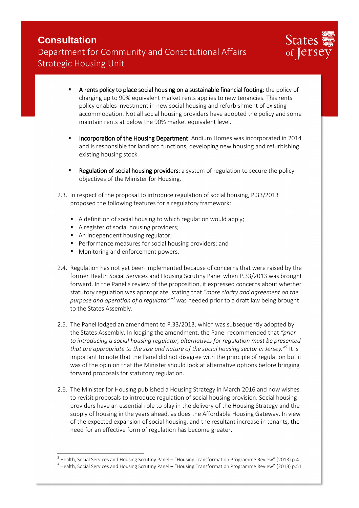

- **A rents policy to place social housing on a sustainable financial footing:** the policy of charging up to 90% equivalent market rents applies to new tenancies. This rents policy enables investment in new social housing and refurbishment of existing accommodation. Not all social housing providers have adopted the policy and some maintain rents at below the 90% market equivalent level.
- Incorporation of the Housing Department: Andium Homes was incorporated in 2014 and is responsible for landlord functions, developing new housing and refurbishing existing housing stock.
- **Regulation of social housing providers:** a system of regulation to secure the policy objectives of the Minister for Housing.
- 2.3. In respect of the proposal to introduce regulation of social housing, P.33/2013 proposed the following features for a regulatory framework:
	- A definition of social housing to which regulation would apply;
	- A register of social housing providers;
	- An independent housing regulator;
	- **Performance measures for social housing providers: and**
	- **Monitoring and enforcement powers.**

- 2.4. Regulation has not yet been implemented because of concerns that were raised by the former Health Social Services and Housing Scrutiny Panel when P.33/2013 was brought forward. In the Panel's review of the proposition, it expressed concerns about whether statutory regulation was appropriate, stating that *"more clarity and agreement on the purpose and operation of a regulator'"<sup>3</sup>* was needed prior to a draft law being brought to the States Assembly.
- 2.5. The Panel lodged an amendment to P.33/2013, which was subsequently adopted by the States Assembly. In lodging the amendment, the Panel recommended that *"prior to introducing a social housing regulator, alternatives for regulation must be presented that are appropriate to the size and nature of the social housing sector in Jersey."<sup>4</sup>* It is important to note that the Panel did not disagree with the principle of regulation but it was of the opinion that the Minister should look at alternative options before bringing forward proposals for statutory regulation.
- 2.6. The Minister for Housing published a Housing Strategy in March 2016 and now wishes to revisit proposals to introduce regulation of social housing provision. Social housing providers have an essential role to play in the delivery of the Housing Strategy and the supply of housing in the years ahead, as does the Affordable Housing Gateway. In view of the expected expansion of social housing, and the resultant increase in tenants, the need for an effective form of regulation has become greater.

 $^3$  Health, Social Services and Housing Scrutiny Panel – "Housing Transformation Programme Review" (2013) p.4 <sup>4</sup> Health, Social Services and Housing Scrutiny Panel – "Housing Transformation Programme Review" (2013) p.51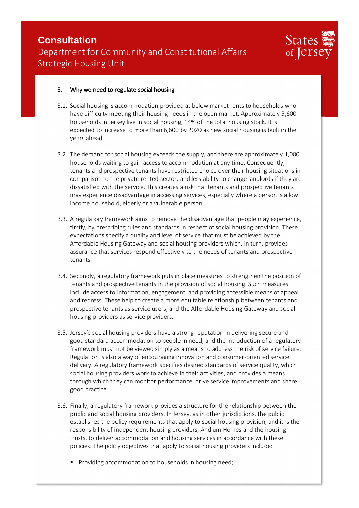

#### 3. Why we need to regulate social housing

- 3.1. Social housing is accommodation provided at below market rents to households who have difficulty meeting their housing needs in the open market. Approximately 5,600 households in Jersey live in social housing, 14% of the total housing stock. It is expected to increase to more than 6,600 by 2020 as new social housing is built in the years ahead.
- 3.2. The demand for social housing exceeds the supply, and there are approximately 1,000 households waiting to gain access to accommodation at any time. Consequently, tenants and prospective tenants have restricted choice over their housing situations in comparison to the private rented sector, and less ability to change landlords if they are dissatisfied with the service. This creates a risk that tenants and prospective tenants may experience disadvantage in accessing services, especially where a person is a low income household, elderly or a vulnerable person.
- 3.3. A regulatory framework aims to remove the disadvantage that people may experience, firstly, by prescribing rules and standards in respect of social housing provision. These expectations specify a quality and level of service that must be achieved by the Affordable Housing Gateway and social housing providers which, in turn, provides assurance that services respond effectively to the needs of tenants and prospective tenants.
- 3.4. Secondly, a regulatory framework puts in place measures to strengthen the position of tenants and prospective tenants in the provision of social housing. Such measures include access to information, engagement, and providing accessible means of appeal and redress. These help to create a more equitable relationship between tenants and prospective tenants as service users, and the Affordable Housing Gateway and social housing providers as service providers.
- 3.5. Jersey's social housing providers have a strong reputation in delivering secure and good standard accommodation to people in need, and the introduction of a regulatory framework must not be viewed simply as a means to address the risk of service failure. Regulation is also a way of encouraging innovation and consumer-oriented service delivery. A regulatory framework specifies desired standards of service quality, which social housing providers work to achieve in their activities, and provides a means through which they can monitor performance, drive service improvements and share good practice.
- 3.6. Finally, a regulatory framework provides a structure for the relationship between the public and social housing providers. In Jersey, as in other jurisdictions, the public establishes the policy requirements that apply to social housing provision, and it is the responsibility of independent housing providers, Andium Homes and the housing trusts, to deliver accommodation and housing services in accordance with these policies. The policy objectives that apply to social housing providers include:
	- Providing accommodation to households in housing need;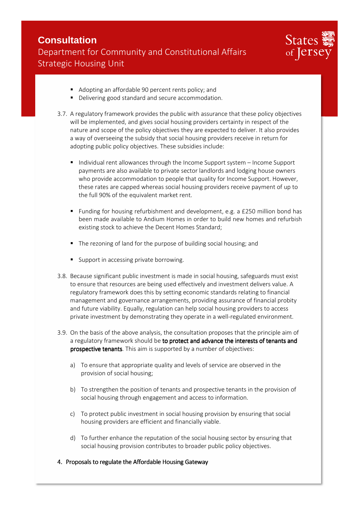

- Adopting an affordable 90 percent rents policy; and
- Delivering good standard and secure accommodation.
- 3.7. A regulatory framework provides the public with assurance that these policy objectives will be implemented, and gives social housing providers certainty in respect of the nature and scope of the policy objectives they are expected to deliver. It also provides a way of overseeing the subsidy that social housing providers receive in return for adopting public policy objectives. These subsidies include:
	- Individual rent allowances through the Income Support system Income Support payments are also available to private sector landlords and lodging house owners who provide accommodation to people that quality for Income Support. However, these rates are capped whereas social housing providers receive payment of up to the full 90% of the equivalent market rent.
	- Funding for housing refurbishment and development, e.g. a £250 million bond has been made available to Andium Homes in order to build new homes and refurbish existing stock to achieve the Decent Homes Standard;
	- The rezoning of land for the purpose of building social housing; and
	- Support in accessing private borrowing.
- 3.8. Because significant public investment is made in social housing, safeguards must exist to ensure that resources are being used effectively and investment delivers value. A regulatory framework does this by setting economic standards relating to financial management and governance arrangements, providing assurance of financial probity and future viability. Equally, regulation can help social housing providers to access private investment by demonstrating they operate in a well-regulated environment.
- 3.9. On the basis of the above analysis, the consultation proposes that the principle aim of a regulatory framework should be to protect and advance the interests of tenants and prospective tenants. This aim is supported by a number of objectives:
	- a) To ensure that appropriate quality and levels of service are observed in the provision of social housing;
	- b) To strengthen the position of tenants and prospective tenants in the provision of social housing through engagement and access to information.
	- c) To protect public investment in social housing provision by ensuring that social housing providers are efficient and financially viable.
	- d) To further enhance the reputation of the social housing sector by ensuring that social housing provision contributes to broader public policy objectives.
- 4. Proposals to regulate the Affordable Housing Gateway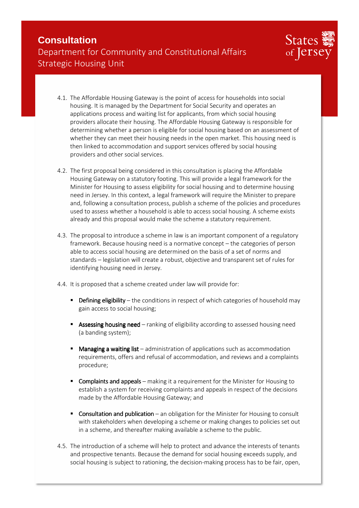

- 4.1. The Affordable Housing Gateway is the point of access for households into social housing. It is managed by the Department for Social Security and operates an applications process and waiting list for applicants, from which social housing providers allocate their housing. The Affordable Housing Gateway is responsible for determining whether a person is eligible for social housing based on an assessment of whether they can meet their housing needs in the open market. This housing need is then linked to accommodation and support services offered by social housing providers and other social services.
- 4.2. The first proposal being considered in this consultation is placing the Affordable Housing Gateway on a statutory footing. This will provide a legal framework for the Minister for Housing to assess eligibility for social housing and to determine housing need in Jersey. In this context, a legal framework will require the Minister to prepare and, following a consultation process, publish a scheme of the policies and procedures used to assess whether a household is able to access social housing. A scheme exists already and this proposal would make the scheme a statutory requirement.
- 4.3. The proposal to introduce a scheme in law is an important component of a regulatory framework. Because housing need is a normative concept – the categories of person able to access social housing are determined on the basis of a set of norms and standards – legislation will create a robust, objective and transparent set of rules for identifying housing need in Jersey.
- 4.4. It is proposed that a scheme created under law will provide for:
	- **Defining eligibility** the conditions in respect of which categories of household may gain access to social housing;
	- **Assessing housing need** ranking of eligibility according to assessed housing need (a banding system);
	- Managing a waiting list administration of applications such as accommodation requirements, offers and refusal of accommodation, and reviews and a complaints procedure;
	- **Complaints and appeals** making it a requirement for the Minister for Housing to establish a system for receiving complaints and appeals in respect of the decisions made by the Affordable Housing Gateway; and
	- **Consultation and publication** an obligation for the Minister for Housing to consult with stakeholders when developing a scheme or making changes to policies set out in a scheme, and thereafter making available a scheme to the public.
- 4.5. The introduction of a scheme will help to protect and advance the interests of tenants and prospective tenants. Because the demand for social housing exceeds supply, and social housing is subject to rationing, the decision-making process has to be fair, open,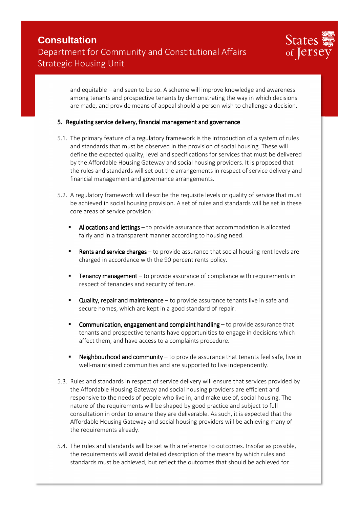

and equitable – and seen to be so. A scheme will improve knowledge and awareness among tenants and prospective tenants by demonstrating the way in which decisions are made, and provide means of appeal should a person wish to challenge a decision.

#### 5. Regulating service delivery, financial management and governance

- 5.1. The primary feature of a regulatory framework is the introduction of a system of rules and standards that must be observed in the provision of social housing. These will define the expected quality, level and specifications for services that must be delivered by the Affordable Housing Gateway and social housing providers. It is proposed that the rules and standards will set out the arrangements in respect of service delivery and financial management and governance arrangements.
- 5.2. Aregulatory framework will describe the requisite levels or quality of service that must be achieved in social housing provision. A set of rules and standards will be set in these core areas of service provision:
	- Allocations and lettings to provide assurance that accommodation is allocated fairly and in a transparent manner according to housing need.
	- **Rents and service charges** to provide assurance that social housing rent levels are charged in accordance with the 90 percent rents policy.
	- **Tenancy management** to provide assurance of compliance with requirements in respect of tenancies and security of tenure.
	- **Quality, repair and maintenance** to provide assurance tenants live in safe and secure homes, which are kept in a good standard of repair.
	- **Communication, engagement and complaint handling**  $-$  to provide assurance that tenants and prospective tenants have opportunities to engage in decisions which affect them, and have access to a complaints procedure.
	- **Neighbourhood and community**  $-$  to provide assurance that tenants feel safe, live in well-maintained communities and are supported to live independently.
- 5.3. Rules and standards in respect of service delivery will ensure that services provided by the Affordable Housing Gateway and social housing providers are efficient and responsive to the needs of people who live in, and make use of, social housing. The nature of the requirements will be shaped by good practice and subject to full consultation in order to ensure they are deliverable. As such, it is expected that the Affordable Housing Gateway and social housing providers will be achieving many of the requirements already.
- 5.4. The rules and standards will be set with a reference to outcomes. Insofar as possible, the requirements will avoid detailed description of the means by which rules and standards must be achieved, but reflect the outcomes that should be achieved for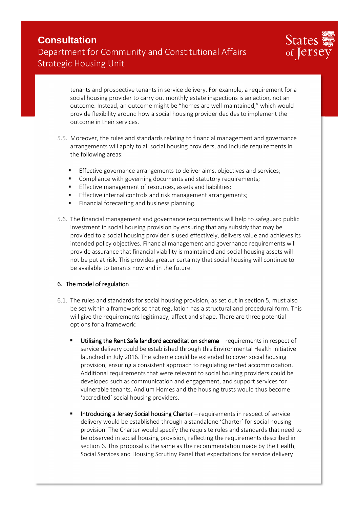

tenants and prospective tenants in service delivery. For example, a requirement for a social housing provider to carry out monthly estate inspections is an action, not an outcome. Instead, an outcome might be "homes are well-maintained," which would provide flexibility around how a social housing provider decides to implement the outcome in their services.

- 5.5. Moreover, the rules and standards relating to financial management and governance arrangements will apply to all social housing providers, and include requirements in the following areas:
	- **Effective governance arrangements to deliver aims, objectives and services;**
	- **EXECOMPLE COMPLIANCE With governing documents and statutory requirements;**
	- **Effective management of resources, assets and liabilities;**
	- **Effective internal controls and risk management arrangements;**
	- Financial forecasting and business planning.
- 5.6. The financial management and governance requirements will help to safeguard public investment in social housing provision by ensuring that any subsidy that may be provided to a social housing provider is used effectively, delivers value and achieves its intended policy objectives. Financial management and governance requirements will provide assurance that financial viability is maintained and social housing assets will not be put at risk. This provides greater certainty that social housing will continue to be available to tenants now and in the future.

#### 6. The model of regulation

- 6.1. The rules and standards for social housing provision, as set out in section 5, must also be set within a framework so that regulation has a structural and procedural form. This will give the requirements legitimacy, affect and shape. There are three potential options for a framework:
	- Utilising the Rent Safe landlord accreditation scheme  $-$  requirements in respect of service delivery could be established through this Environmental Health initiative launched in July 2016. The scheme could be extended to cover social housing provision, ensuring a consistent approach to regulating rented accommodation. Additional requirements that were relevant to social housing providers could be developed such as communication and engagement, and support services for vulnerable tenants. Andium Homes and the housing trusts would thus become 'accredited' social housing providers.
	- Introducing a Jersey Social housing Charter requirements in respect of service delivery would be established through a standalone 'Charter' for social housing provision. The Charter would specify the requisite rules and standards that need to be observed in social housing provision, reflecting the requirements described in section 6.This proposal is the same as the recommendation made by the Health, Social Services and Housing Scrutiny Panel that expectations for service delivery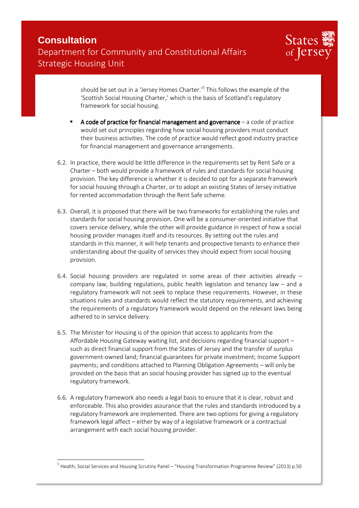

should be set out in a 'Jersey Homes Charter.'<sup>5</sup> This follows the example of the 'Scottish Social Housing Charter,' which is the basis of Scotland's regulatory framework for social housing.

- A code of practice for financial management and governance  $-$  a code of practice would set out principles regarding how social housing providers must conduct their business activities. The code of practice would reflect good industry practice for financial management and governance arrangements.
- 6.2. In practice, there would be little difference in the requirements set by Rent Safe or a Charter – both would provide a framework of rules and standards for social housing provision. The key difference is whether it is decided to opt for a separate framework for social housing through a Charter, or to adopt an existing States of Jersey initiative for rented accommodation through the Rent Safe scheme.
- 6.3. Overall, it is proposed that there will be two frameworks for establishing the rules and standards for social housing provision. One will be a consumer-oriented initiative that covers service delivery, while the other will provide guidance in respect of how a social housing provider manages itself and its resources. By setting out the rules and standards in this manner, it will help tenants and prospective tenants to enhance their understanding about the quality of services they should expect from social housing provision.
- 6.4. Social housing providers are regulated in some areas of their activities already company law, building regulations, public health legislation and tenancy law – and a regulatory framework will not seek to replace these requirements. However, in these situations rules and standards would reflect the statutory requirements, and achieving the requirements of a regulatory framework would depend on the relevant laws being adhered to in service delivery.
- 6.5. The Minister for Housing is of the opinion that access to applicants from the Affordable Housing Gateway waiting list, and decisions regarding financial support – such as direct financial support from the States of Jersey and the transfer of surplus government-owned land; financial guarantees for private investment; Income Support payments; and conditions attached to Planning Obligation Agreements – will only be provided on the basis that an social housing provider has signed up to the eventual regulatory framework.
- 6.6. A regulatory framework also needs a legal basis to ensure that it is clear, robust and enforceable. This also provides assurance that the rules and standards introduced by a regulatory framework are implemented. There are two options for giving a regulatory framework legal affect – either by way of a legislative framework or a contractual arrangement with each social housing provider.

<sup>&</sup>lt;sup>5</sup> Health, Social Services and Housing Scrutiny Panel – "Housing Transformation Programme Review" (2013) p.50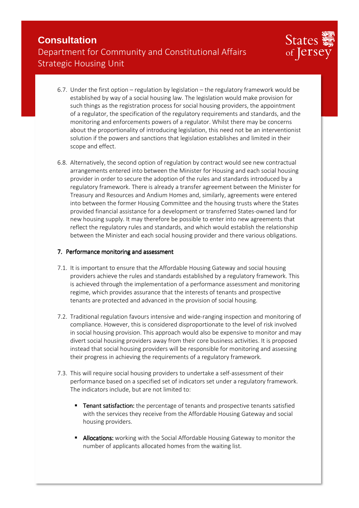

- 6.7. Under the first option regulation by legislation the regulatory framework would be established by way of a social housing law. The legislation would make provision for such things as the registration process for social housing providers, the appointment of a regulator, the specification of the regulatory requirements and standards, and the monitoring and enforcements powers of a regulator. Whilst there may be concerns about the proportionality of introducing legislation, this need not be an interventionist solution if the powers and sanctions that legislation establishes and limited in their scope and effect.
- 6.8. Alternatively, the second option of regulation by contract would see new contractual arrangements entered into between the Minister for Housing and each social housing provider in order to secure the adoption of the rules and standards introduced by a regulatory framework. There is already a transfer agreement between the Minister for Treasury and Resources and Andium Homes and, similarly, agreements were entered into between the former Housing Committee and the housing trusts where the States provided financial assistance for a development or transferred States-owned land for new housing supply. It may therefore be possible to enter into new agreements that reflect the regulatory rules and standards, and which would establish the relationship between the Minister and each social housing provider and there various obligations.

#### 7. Performance monitoring and assessment

- 7.1. It is important to ensure that the Affordable Housing Gateway and social housing providers achieve the rules and standards established by a regulatory framework. This is achieved through the implementation of a performance assessment and monitoring regime, which provides assurance that the interests of tenants and prospective tenants are protected and advanced in the provision of social housing.
- 7.2. Traditional regulation favours intensive and wide-ranging inspection and monitoring of compliance. However, this is considered disproportionate to the level of risk involved in social housing provision. This approach would also be expensive to monitor and may divert social housing providers away from their core business activities. It is proposed instead that social housing providers will be responsible for monitoring and assessing their progress in achieving the requirements of a regulatory framework.
- 7.3. This will require social housing providers to undertake a self-assessment of their performance based on a specified set of indicators set under a regulatory framework. The indicators include, but are not limited to:
	- Tenant satisfaction: the percentage of tenants and prospective tenants satisfied with the services they receive from the Affordable Housing Gateway and social housing providers.
	- Allocations: working with the Social Affordable Housing Gateway to monitor the number of applicants allocated homes from the waiting list.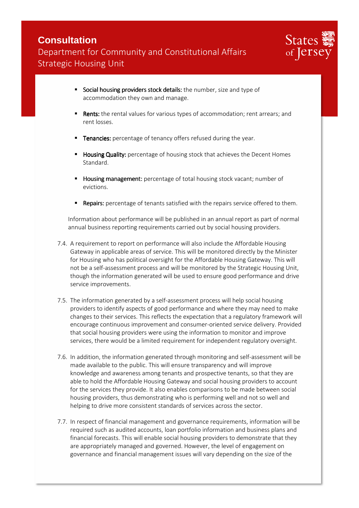

- Social housing providers stock details: the number, size and type of accommodation they own and manage.
- Rents: the rental values for various types of accommodation; rent arrears; and rent losses.
- Tenancies: percentage of tenancy offers refused during the year.
- Housing Quality: percentage of housing stock that achieves the Decent Homes Standard.
- Housing management: percentage of total housing stock vacant; number of evictions.
- Repairs: percentage of tenants satisfied with the repairs service offered to them.

Information about performance will be published in an annual report as part of normal annual business reporting requirements carried out by social housing providers.

- 7.4. A requirement to report on performance will also include the Affordable Housing Gateway in applicable areas of service. This will be monitored directly by the Minister for Housing who has political oversight for the Affordable Housing Gateway. This will not be a self-assessment process and will be monitored by the Strategic Housing Unit, though the information generated will be used to ensure good performance and drive service improvements.
- 7.5. The information generated by a self-assessment process will help social housing providers to identify aspects of good performance and where they may need to make changes to their services. This reflects the expectation that a regulatory framework will encourage continuous improvement and consumer-oriented service delivery. Provided that social housing providers were using the information to monitor and improve services, there would be a limited requirement for independent regulatory oversight.
- 7.6. In addition, the information generated through monitoring and self-assessment will be made available to the public. This will ensure transparency and will improve knowledge and awareness among tenants and prospective tenants, so that they are able to hold the Affordable Housing Gateway and social housing providers to account for the services they provide. It also enables comparisons to be made between social housing providers, thus demonstrating who is performing well and not so well and helping to drive more consistent standards of services across the sector.
- 7.7. In respect of financial management and governance requirements, information will be required such as audited accounts, loan portfolio information and business plans and financial forecasts. This will enable social housing providers to demonstrate that they are appropriately managed and governed. However, the level of engagement on governance and financial management issues will vary depending on the size of the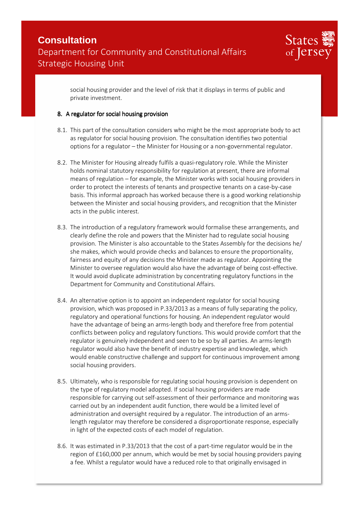

social housing provider and the level of risk that it displays in terms of public and private investment.

#### 8. A regulator for social housing provision

- 8.1. This part of the consultation considers who might be the most appropriate body to act as regulator for social housing provision. The consultation identifies two potential options for a regulator – the Minister for Housing or a non-governmental regulator.
- 8.2. The Minister for Housing already fulfils a quasi-regulatory role. While the Minister holds nominal statutory responsibility for regulation at present, there are informal means of regulation – for example, the Minister works with social housing providers in order to protect the interests of tenants and prospective tenants on a case-by-case basis. This informal approach has worked because there is a good working relationship between the Minister and social housing providers, and recognition that the Minister acts in the public interest.
- 8.3. The introduction of a regulatory framework would formalise these arrangements, and clearly define the role and powers that the Minister had to regulate social housing provision. The Minister is also accountable to the States Assembly for the decisions he/ she makes, which would provide checks and balances to ensure the proportionality, fairness and equity of any decisions the Minister made as regulator. Appointing the Minister to oversee regulation would also have the advantage of being cost-effective. It would avoid duplicate administration by concentrating regulatory functions in the Department for Community and Constitutional Affairs.
- 8.4. An alternative option is to appoint an independent regulator for social housing provision, which was proposed in P.33/2013 as a means of fully separating the policy, regulatory and operational functions for housing. An independent regulator would have the advantage of being an arms-length body and therefore free from potential conflicts between policy and regulatory functions. This would provide comfort that the regulator is genuinely independent and seen to be so by all parties. An arms-length regulator would also have the benefit of industry expertise and knowledge, which would enable constructive challenge and support for continuous improvement among social housing providers.
- 8.5. Ultimately, who is responsible for regulating social housing provision is dependent on the type of regulatory model adopted. If social housing providers are made responsible for carrying out self-assessment of their performance and monitoring was carried out by an independent audit function, there would be a limited level of administration and oversight required by a regulator. The introduction of an armslength regulator may therefore be considered a disproportionate response, especially in light of the expected costs of each model of regulation.
- 8.6. It was estimated in P.33/2013 that the cost of a part-time regulator would be in the region of £160,000 per annum, which would be met by social housing providers paying a fee. Whilst a regulator would have a reduced role to that originally envisaged in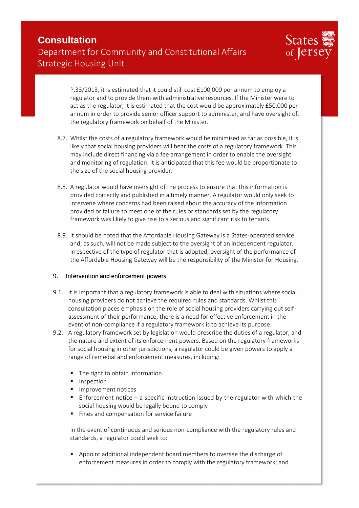

P.33/2013, it is estimated that it could still cost £100,000 per annum to employ a regulator and to provide them with administrative resources. If the Minister were to act as the regulator, it is estimated that the cost would be approximately £50,000 per annum in order to provide senior officer support to administer, and have oversight of, the regulatory framework on behalf of the Minister.

- 8.7. Whilst the costs of a regulatory framework would be minimised as far as possible, it is likely that social housing providers will bear the costs of a regulatory framework. This may include direct financing via a fee arrangement in order to enable the oversight and monitoring of regulation. It is anticipated that this fee would be proportionate to the size of the social housing provider.
- 8.8. A regulator would have oversight of the process to ensure that this information is provided correctly and published in a timely manner. A regulator would only seek to intervene where concerns had been raised about the accuracy of the information provided or failure to meet one of the rules or standards set by the regulatory framework was likely to give rise to a serious and significant risk to tenants.
- 8.9. It should be noted that the Affordable Housing Gateway is a States-operated service and, as such, will not be made subject to the oversight of an independent regulator. Irrespective of the type of regulator that is adopted, oversight of the performance of the Affordable Housing Gateway will be the responsibility of the Minister for Housing.

#### 9. Intervention and enforcement powers

- 9.1. It is important that a regulatory framework is able to deal with situations where social housing providers do not achieve the required rules and standards. Whilst this consultation places emphasis on the role of social housing providers carrying out selfassessment of their performance, there is a need for effective enforcement in the event of non-compliance if a regulatory framework is to achieve its purpose.
- 9.2. A regulatory framework set by legislation would prescribe the duties of a regulator, and the nature and extent of its enforcement powers. Based on the regulatory frameworks for social housing in other jurisdictions, a regulator could be given powers to apply a range of remedial and enforcement measures, including:
	- The right to obtain information
	- **Inspection**
	- Improvement notices
	- **E** Enforcement notice a specific instruction issued by the regulator with which the social housing would be legally bound to comply
	- Fines and compensation for service failure

In the event of continuous and serious non-compliance with the regulatory rules and standards, a regulator could seek to:

 Appoint additional independent board members to oversee the discharge of enforcement measures in order to comply with the regulatory framework; and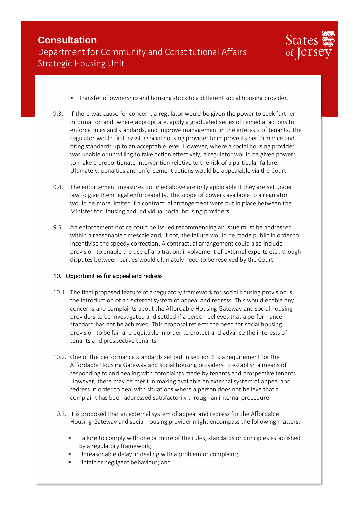

- Transfer of ownership and housing stock to a different social housing provider.
- 9.3. If there was cause for concern, a regulator would be given the power to seek further information and, where appropriate, apply a graduated series of remedial actions to enforce rules and standards, and improve management in the interests of tenants. The regulator would first assist a social housing provider to improve its performance and bring standards up to an acceptable level. However, where a social housing provider was unable or unwilling to take action effectively, a regulator would be given powers to make a proportionate intervention relative to the risk of a particular failure. Ultimately, penalties and enforcement actions would be appealable via the Court.
- 9.4. The enforcement measures outlined above are only applicable if they are set under law to give them legal enforceability. The scope of powers available to a regulator would be more limited if a contractual arrangement were put in place between the Minister for Housing and individual social housing providers.
- 9.5. An enforcement notice could be issued recommending an issue must be addressed within a reasonable timescale and, if not, the failure would be made public in order to incentivise the speedy correction. A contractual arrangement could also include provision to enable the use of arbitration, involvement of external experts etc., though disputes between parties would ultimately need to be resolved by the Court.

#### 10. Opportunities for appeal and redress

- 10.1. The final proposed feature of a regulatory framework for social housing provision is the introduction of an external system of appeal and redress. This would enable any concerns and complaints about the Affordable Housing Gateway and social housing providers to be investigated and settled if a person believes that a performance standard has not be achieved. This proposal reflects the need for social housing provision to be fair and equitable in order to protect and advance the interests of tenants and prospective tenants.
- 10.2. One of the performance standards set out in section 6 is a requirement for the Affordable Housing Gateway and social housing providers to establish a means of responding to and dealing with complaints made by tenants and prospective tenants. However, there may be merit in making available an external system of appeal and redress in order to deal with situations where a person does not believe that a complaint has been addressed satisfactorily through an internal procedure.
- 10.3. It is proposed that an external system of appeal and redress for the Affordable Housing Gateway and social housing provider might encompass the following matters:
	- **Failure to comply with one or more of the rules, standards or principles established** by a regulatory framework;
	- Unreasonable delay in dealing with a problem or complaint;
	- Unfair or negligent behaviour; and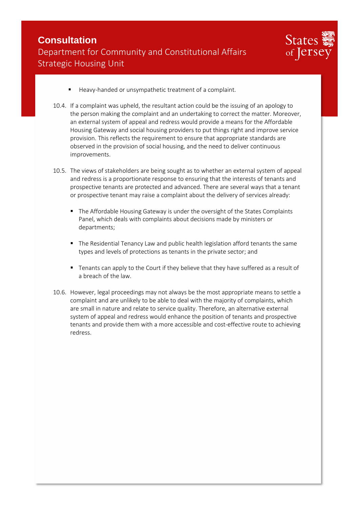

- Heavy-handed or unsympathetic treatment of a complaint.
- 10.4. If a complaint was upheld, the resultant action could be the issuing of an apology to the person making the complaint and an undertaking to correct the matter. Moreover, an external system of appeal and redress would provide a means for the Affordable Housing Gateway and social housing providers to put things right and improve service provision. This reflects the requirement to ensure that appropriate standards are observed in the provision of social housing, and the need to deliver continuous improvements.
- 10.5. The views of stakeholders are being sought as to whether an external system of appeal and redress is a proportionate response to ensuring that the interests of tenants and prospective tenants are protected and advanced. There are several ways that a tenant or prospective tenant may raise a complaint about the delivery of services already:
	- **The Affordable Housing Gateway is under the oversight of the States Complaints** Panel, which deals with complaints about decisions made by ministers or departments;
	- The Residential Tenancy Law and public health legislation afford tenants the same types and levels of protections as tenants in the private sector; and
	- Tenants can apply to the Court if they believe that they have suffered as a result of a breach of the law.
- 10.6. However, legal proceedings may not always be the most appropriate means to settle a complaint and are unlikely to be able to deal with the majority of complaints, which are small in nature and relate to service quality. Therefore, an alternative external system of appeal and redress would enhance the position of tenants and prospective tenants and provide them with a more accessible and cost-effective route to achieving redress.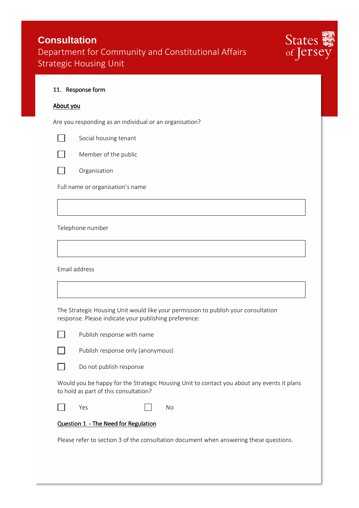

|  | 11. Response form |  |
|--|-------------------|--|
|--|-------------------|--|

#### About you

Are you responding as an individual or an organisation?

Social housing tenant

Member of the public



 $\vert \ \ \vert$ 

Organisation

Full name or organisation's name

Telephone number

Email address

The Strategic Housing Unit would like your permission to publish your consultation response. Please indicate your publishing preference:

Publish response with name

Publish response only (anonymous)

Do not publish response

Would you be happy for the Strategic Housing Unit to contact you about any events it plans to hold as part of this consultation?

П

Yes No

#### Question 1 - The Need for Regulation

Please refer to section 3 of the consultation document when answering these questions.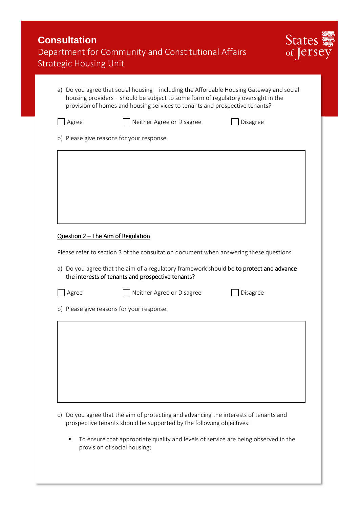| <b>Strategic Housing Unit</b> | Department for Community and Constitutional Affairs                                                                                                                                                                                                           |          | States<br>of erst |
|-------------------------------|---------------------------------------------------------------------------------------------------------------------------------------------------------------------------------------------------------------------------------------------------------------|----------|-------------------|
|                               | a) Do you agree that social housing – including the Affordable Housing Gateway and social<br>housing providers - should be subject to some form of regulatory oversight in the<br>provision of homes and housing services to tenants and prospective tenants? |          |                   |
| Agree                         | Neither Agree or Disagree                                                                                                                                                                                                                                     | Disagree |                   |
|                               | b) Please give reasons for your response.                                                                                                                                                                                                                     |          |                   |
|                               |                                                                                                                                                                                                                                                               |          |                   |
|                               |                                                                                                                                                                                                                                                               |          |                   |
|                               |                                                                                                                                                                                                                                                               |          |                   |
|                               |                                                                                                                                                                                                                                                               |          |                   |
|                               |                                                                                                                                                                                                                                                               |          |                   |
|                               |                                                                                                                                                                                                                                                               |          |                   |
|                               | Question 2 - The Aim of Regulation                                                                                                                                                                                                                            |          |                   |
|                               | Please refer to section 3 of the consultation document when answering these questions.                                                                                                                                                                        |          |                   |
|                               | a) Do you agree that the aim of a regulatory framework should be to protect and advance<br>the interests of tenants and prospective tenants?                                                                                                                  |          |                   |
| Agree                         | Neither Agree or Disagree                                                                                                                                                                                                                                     | Disagree |                   |
|                               | b) Please give reasons for your response.                                                                                                                                                                                                                     |          |                   |
|                               |                                                                                                                                                                                                                                                               |          |                   |
|                               |                                                                                                                                                                                                                                                               |          |                   |
|                               |                                                                                                                                                                                                                                                               |          |                   |
|                               |                                                                                                                                                                                                                                                               |          |                   |
|                               |                                                                                                                                                                                                                                                               |          |                   |

 To ensure that appropriate quality and levels of service are being observed in the provision of social housing;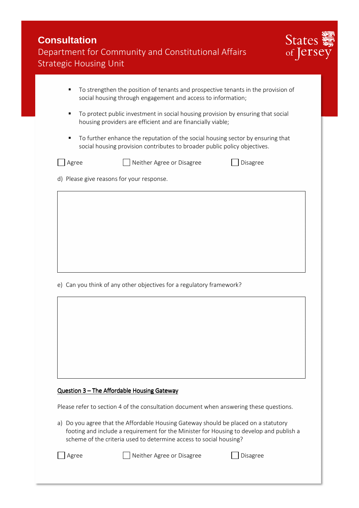| <b>Consultation</b>                                 |
|-----------------------------------------------------|
| Department for Community and Constitutional Affairs |
| <b>Strategic Housing Unit</b>                       |



- To strengthen the position of tenants and prospective tenants in the provision of social housing through engagement and access to information;
- To protect public investment in social housing provision by ensuring that social housing providers are efficient and are financially viable;
- To further enhance the reputation of the social housing sector by ensuring that social housing provision contributes to broader public policy objectives.



 $\Box$  Agree  $\Box$  Neither Agree or Disagree  $\Box$  Disagree

d) Please give reasons for your response.

e) Can you think of any other objectives for a regulatory framework?

#### Question 3 - The Affordable Housing Gateway

Please refer to section 4 of the consultation document when answering these questions.

a) Do you agree that the Affordable Housing Gateway should be placed on a statutory footing and include a requirement for the Minister for Housing to develop and publish a scheme of the criteria used to determine access to social housing?

Agree Neither Agree or Disagree Disagree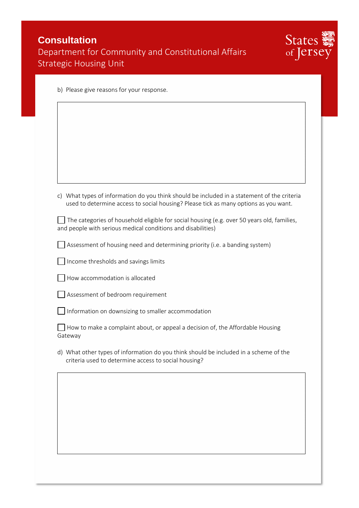| <b>Consultation</b>                                 |  |
|-----------------------------------------------------|--|
| Department for Community and Constitutional Affairs |  |
| Strategic Housing Unit                              |  |



|  |  |  |  |  |  | b) Please give reasons for your response. |
|--|--|--|--|--|--|-------------------------------------------|
|--|--|--|--|--|--|-------------------------------------------|

| c) What types of information do you think should be included in a statement of the criteria |
|---------------------------------------------------------------------------------------------|
| used to determine access to social housing? Please tick as many options as you want.        |

The categories of household eligible for social housing (e.g. over 50 years old, families, and people with serious medical conditions and disabilities)

Assessment of housing need and determining priority (i.e. a banding system)

 $\Box$  Income thresholds and savings limits

|  |  |  | How accommodation is allocated |
|--|--|--|--------------------------------|
|  |  |  |                                |

Assessment of bedroom requirement

Information on downsizing to smaller accommodation

 $\Box$  How to make a complaint about, or appeal a decision of, the Affordable Housing Gateway

d) What other types of information do you think should be included in a scheme of the criteria used to determine access to social housing?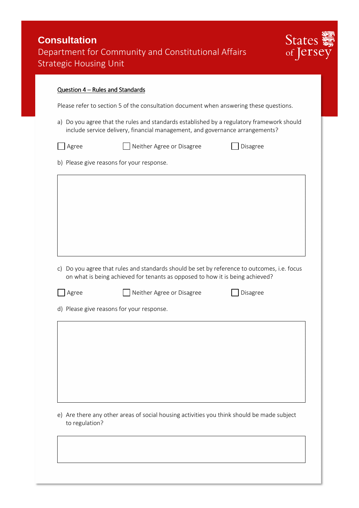| <b>Consultation</b>                                 |
|-----------------------------------------------------|
| Department for Community and Constitutional Affairs |
| <b>Strategic Housing Unit</b>                       |



#### Question 4 – Rules and Standards

Please refer to section 5 of the consultation document when answering these questions.

- a) Do you agree that the rules and standards established by a regulatory framework should include service delivery, financial management, and governance arrangements?
	-

□ Agree 2010 Neither Agree or Disagree 2010 Disagree

b) Please give reasons for your response.

- c) Do you agree that rules and standards should be set by reference to outcomes, i.e. focus on what is being achieved for tenants as opposed to how it is being achieved?
	-

 $\Box$  Agree  $\Box$  Neither Agree or Disagree  $\Box$  Disagree

d) Please give reasons for your response.

e) Are there any other areas of social housing activities you think should be made subject to regulation?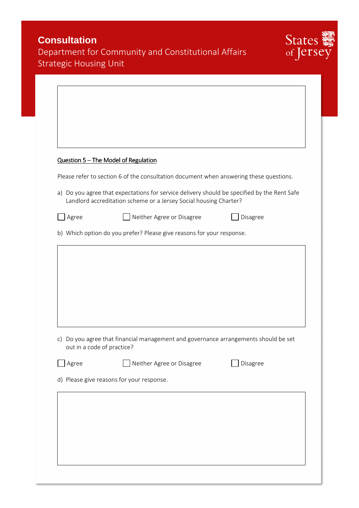| <b>Consultation</b>                  | Department for Community and Constitutional Affairs                                         | States ><br>of [et] |
|--------------------------------------|---------------------------------------------------------------------------------------------|---------------------|
| <b>Strategic Housing Unit</b>        |                                                                                             |                     |
|                                      |                                                                                             |                     |
|                                      |                                                                                             |                     |
|                                      |                                                                                             |                     |
|                                      |                                                                                             |                     |
|                                      |                                                                                             |                     |
| Question 5 - The Model of Regulation |                                                                                             |                     |
|                                      | Please refer to section 6 of the consultation document when answering these questions.      |                     |
|                                      | a) Do you agree that expectations for service delivery should be specified by the Rent Safe |                     |
|                                      | Landlord accreditation scheme or a Jersey Social housing Charter?                           |                     |
| Agree                                | Neither Agree or Disagree                                                                   | Disagree            |
|                                      | b) Which option do you prefer? Please give reasons for your response.                       |                     |
|                                      |                                                                                             |                     |
|                                      |                                                                                             |                     |
| C)<br>out in a code of practice?     | Do you agree that financial management and governance arrangements should be set            |                     |
| Agree                                | Neither Agree or Disagree                                                                   | Disagree            |
|                                      | d) Please give reasons for your response.                                                   |                     |
|                                      |                                                                                             |                     |
|                                      |                                                                                             |                     |
|                                      |                                                                                             |                     |
|                                      |                                                                                             |                     |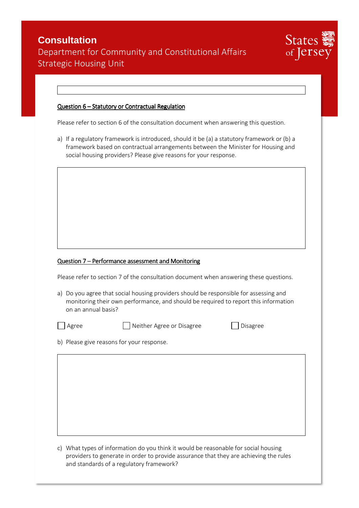| <b>Consultation</b>                                 |  |
|-----------------------------------------------------|--|
| Department for Community and Constitutional Affairs |  |
| <b>Strategic Housing Unit</b>                       |  |



#### Question 6 – Statutory or Contractual Regulation

Please refer to section 6 of the consultation document when answering this question.

a) If a regulatory framework is introduced, should it be (a) a statutory framework or (b) a framework based on contractual arrangements between the Minister for Housing and social housing providers? Please give reasons for your response.

#### Question 7 – Performance assessment and Monitoring

Please refer to section 7 of the consultation document when answering these questions.

a) Do you agree that social housing providers should be responsible for assessing and monitoring their own performance, and should be required to report this information on an annual basis?



□ Agree 2010 Disagree Or Disagree Disagree Disagree

b) Please give reasons for your response.

c) What types of information do you think it would be reasonable for social housing providers to generate in order to provide assurance that they are achieving the rules and standards of a regulatory framework?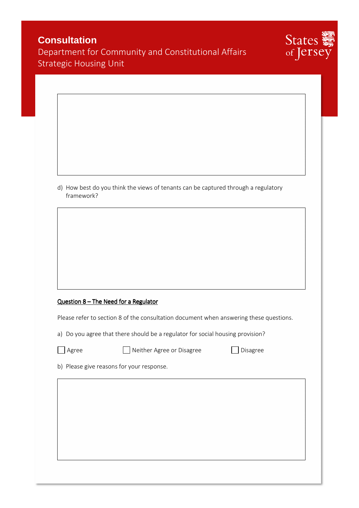# States of Jersey

### **Consultation**  Department for Community and Constitutional Affairs Strategic Housing Unit

d) How best do you think the views of tenants can be captured through a regulatory framework?

#### $Question 8 - The Need for a Regularor$

Please refer to section 8 of the consultation document when answering these questions.

a) Do you agree that there should be a regulator for social housing provision?

Agree 1988 - Neither Agree or Disagree Disagree

b) Please give reasons for your response.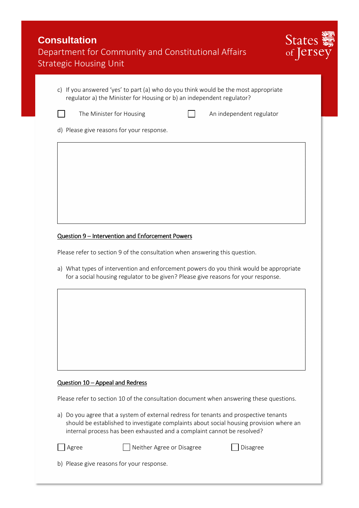| <b>Consultation</b>                                 |
|-----------------------------------------------------|
| Department for Community and Constitutional Affairs |
| Strategic Housing Unit                              |



| c) If you answered 'yes' to part (a) who do you think would be the most appropriate |
|-------------------------------------------------------------------------------------|
| regulator a) the Minister for Housing or b) an independent regulator?               |



The Minister for Housing  $\Box$  An independent regulator

d) Please give reasons for your response.

#### Question 9 – Intervention and Enforcement Powers

Please refer to section 9 of the consultation when answering this question.

a) What types of intervention and enforcement powers do you think would be appropriate for a social housing regulator to be given? Please give reasons for your response.

#### Question  $10$  – Appeal and Redress

Please refer to section 10 of the consultation document when answering these questions.

a) Do you agree that a system of external redress for tenants and prospective tenants should be established to investigate complaints about social housing provision where an internal process has been exhausted and a complaint cannot be resolved?

Agree 1991 Neither Agree or Disagree

b) Please give reasons for your response.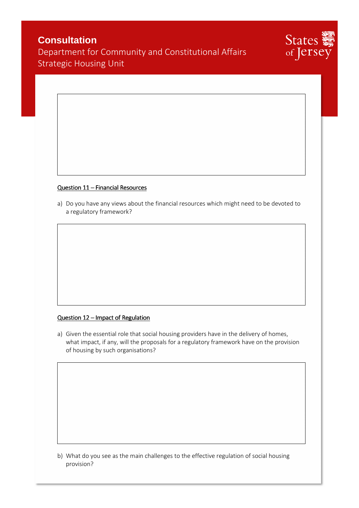# **Consultation**

Department for Community and Constitutional Affairs Strategic Housing Unit



#### Question  $11$  – Financial Resources

a) Do you have any views about the financial resources which might need to be devoted to a regulatory framework?

#### Question 12 – Impact of Regulation

a) Given the essential role that social housing providers have in the delivery of homes, what impact, if any, will the proposals for a regulatory framework have on the provision of housing by such organisations?

b) What do you see as the main challenges to the effective regulation of social housing provision?